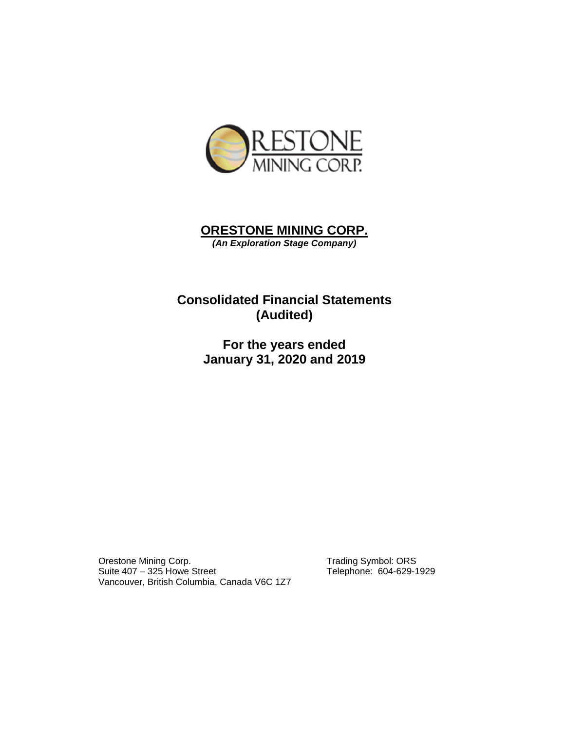

# **ORESTONE MINING CORP.**  *(An Exploration Stage Company)*

# **Consolidated Financial Statements (Audited)**

**For the years ended January 31, 2020 and 2019** 

Orestone Mining Corp.<br>
Suite 407 – 325 Howe Street<br>
Telephone: 604-629-1929 Suite  $407 - 325$  Howe Street Vancouver, British Columbia, Canada V6C 1Z7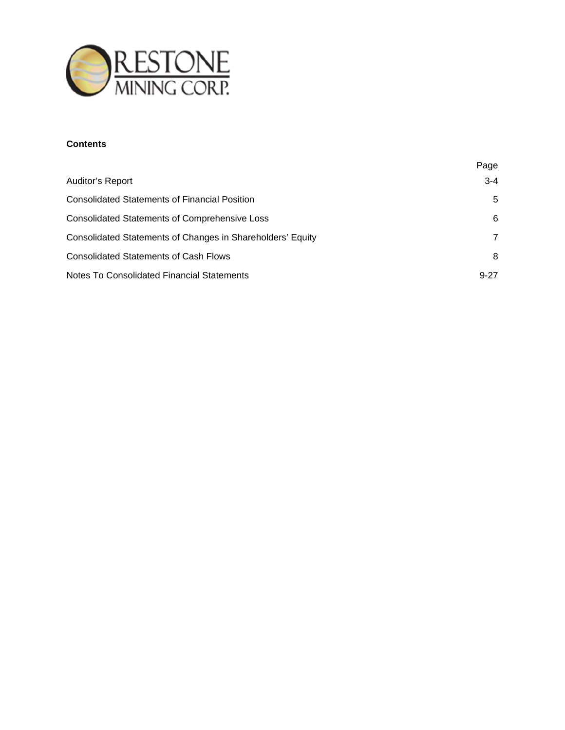

# **Contents**

|                                                            | Page     |
|------------------------------------------------------------|----------|
| Auditor's Report                                           | $3 - 4$  |
| <b>Consolidated Statements of Financial Position</b>       | 5        |
| <b>Consolidated Statements of Comprehensive Loss</b>       | 6        |
| Consolidated Statements of Changes in Shareholders' Equity | 7        |
| <b>Consolidated Statements of Cash Flows</b>               | 8        |
| Notes To Consolidated Financial Statements                 | $9 - 27$ |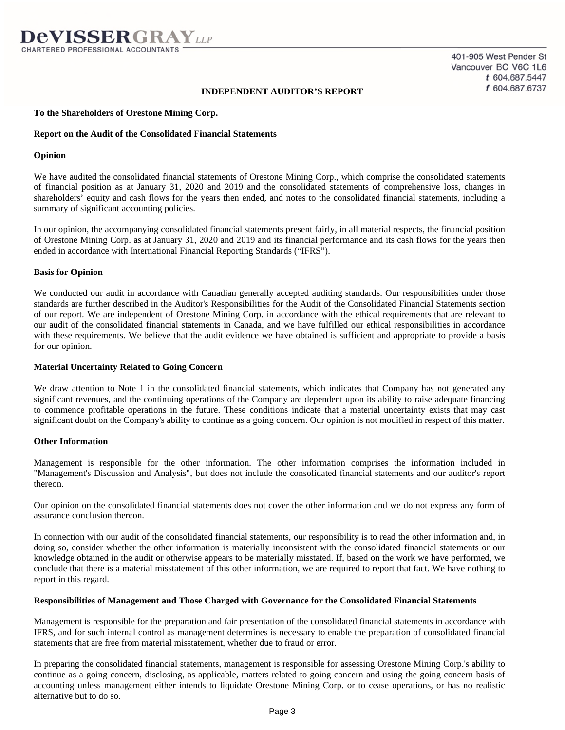# **INDEPENDENT AUDITOR'S REPORT**

### **To the Shareholders of Orestone Mining Corp.**

### **Report on the Audit of the Consolidated Financial Statements**

### **Opinion**

We have audited the consolidated financial statements of Orestone Mining Corp., which comprise the consolidated statements of financial position as at January 31, 2020 and 2019 and the consolidated statements of comprehensive loss, changes in shareholders' equity and cash flows for the years then ended, and notes to the consolidated financial statements, including a summary of significant accounting policies.

In our opinion, the accompanying consolidated financial statements present fairly, in all material respects, the financial position of Orestone Mining Corp. as at January 31, 2020 and 2019 and its financial performance and its cash flows for the years then ended in accordance with International Financial Reporting Standards ("IFRS").

### **Basis for Opinion**

We conducted our audit in accordance with Canadian generally accepted auditing standards. Our responsibilities under those standards are further described in the Auditor's Responsibilities for the Audit of the Consolidated Financial Statements section of our report. We are independent of Orestone Mining Corp. in accordance with the ethical requirements that are relevant to our audit of the consolidated financial statements in Canada, and we have fulfilled our ethical responsibilities in accordance with these requirements. We believe that the audit evidence we have obtained is sufficient and appropriate to provide a basis for our opinion.

#### **Material Uncertainty Related to Going Concern**

We draw attention to Note 1 in the consolidated financial statements, which indicates that Company has not generated any significant revenues, and the continuing operations of the Company are dependent upon its ability to raise adequate financing to commence profitable operations in the future. These conditions indicate that a material uncertainty exists that may cast significant doubt on the Company's ability to continue as a going concern. Our opinion is not modified in respect of this matter.

#### **Other Information**

Management is responsible for the other information. The other information comprises the information included in "Management's Discussion and Analysis", but does not include the consolidated financial statements and our auditor's report thereon.

Our opinion on the consolidated financial statements does not cover the other information and we do not express any form of assurance conclusion thereon.

In connection with our audit of the consolidated financial statements, our responsibility is to read the other information and, in doing so, consider whether the other information is materially inconsistent with the consolidated financial statements or our knowledge obtained in the audit or otherwise appears to be materially misstated. If, based on the work we have performed, we conclude that there is a material misstatement of this other information, we are required to report that fact. We have nothing to report in this regard.

#### **Responsibilities of Management and Those Charged with Governance for the Consolidated Financial Statements**

Management is responsible for the preparation and fair presentation of the consolidated financial statements in accordance with IFRS, and for such internal control as management determines is necessary to enable the preparation of consolidated financial statements that are free from material misstatement, whether due to fraud or error.

In preparing the consolidated financial statements, management is responsible for assessing Orestone Mining Corp.'s ability to continue as a going concern, disclosing, as applicable, matters related to going concern and using the going concern basis of accounting unless management either intends to liquidate Orestone Mining Corp. or to cease operations, or has no realistic alternative but to do so.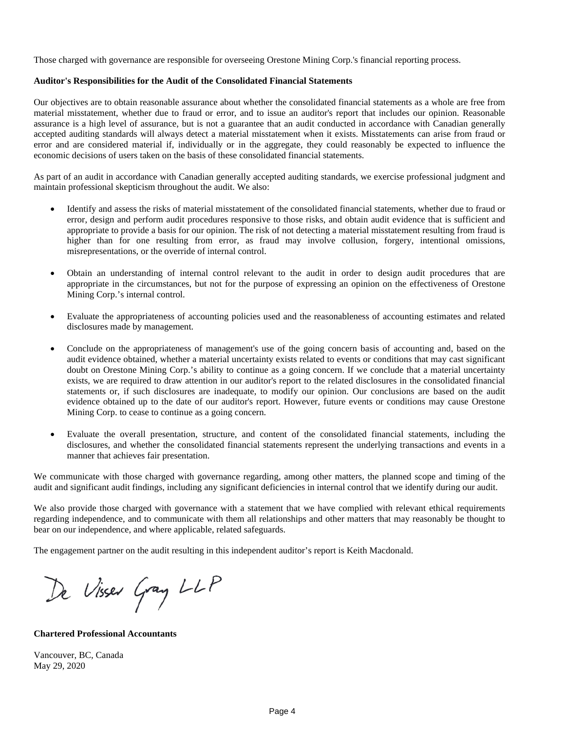Those charged with governance are responsible for overseeing Orestone Mining Corp.'s financial reporting process.

# **Auditor's Responsibilities for the Audit of the Consolidated Financial Statements**

Our objectives are to obtain reasonable assurance about whether the consolidated financial statements as a whole are free from material misstatement, whether due to fraud or error, and to issue an auditor's report that includes our opinion. Reasonable assurance is a high level of assurance, but is not a guarantee that an audit conducted in accordance with Canadian generally accepted auditing standards will always detect a material misstatement when it exists. Misstatements can arise from fraud or error and are considered material if, individually or in the aggregate, they could reasonably be expected to influence the economic decisions of users taken on the basis of these consolidated financial statements.

As part of an audit in accordance with Canadian generally accepted auditing standards, we exercise professional judgment and maintain professional skepticism throughout the audit. We also:

- Identify and assess the risks of material misstatement of the consolidated financial statements, whether due to fraud or error, design and perform audit procedures responsive to those risks, and obtain audit evidence that is sufficient and appropriate to provide a basis for our opinion. The risk of not detecting a material misstatement resulting from fraud is higher than for one resulting from error, as fraud may involve collusion, forgery, intentional omissions, misrepresentations, or the override of internal control.
- Obtain an understanding of internal control relevant to the audit in order to design audit procedures that are appropriate in the circumstances, but not for the purpose of expressing an opinion on the effectiveness of Orestone Mining Corp.'s internal control.
- Evaluate the appropriateness of accounting policies used and the reasonableness of accounting estimates and related disclosures made by management.
- Conclude on the appropriateness of management's use of the going concern basis of accounting and, based on the audit evidence obtained, whether a material uncertainty exists related to events or conditions that may cast significant doubt on Orestone Mining Corp.'s ability to continue as a going concern. If we conclude that a material uncertainty exists, we are required to draw attention in our auditor's report to the related disclosures in the consolidated financial statements or, if such disclosures are inadequate, to modify our opinion. Our conclusions are based on the audit evidence obtained up to the date of our auditor's report. However, future events or conditions may cause Orestone Mining Corp. to cease to continue as a going concern.
- Evaluate the overall presentation, structure, and content of the consolidated financial statements, including the disclosures, and whether the consolidated financial statements represent the underlying transactions and events in a manner that achieves fair presentation.

We communicate with those charged with governance regarding, among other matters, the planned scope and timing of the audit and significant audit findings, including any significant deficiencies in internal control that we identify during our audit.

We also provide those charged with governance with a statement that we have complied with relevant ethical requirements regarding independence, and to communicate with them all relationships and other matters that may reasonably be thought to bear on our independence, and where applicable, related safeguards.

The engagement partner on the audit resulting in this independent auditor's report is Keith Macdonald.

De Visser Gray LLP

**Chartered Professional Accountants** 

Vancouver, BC, Canada May 29, 2020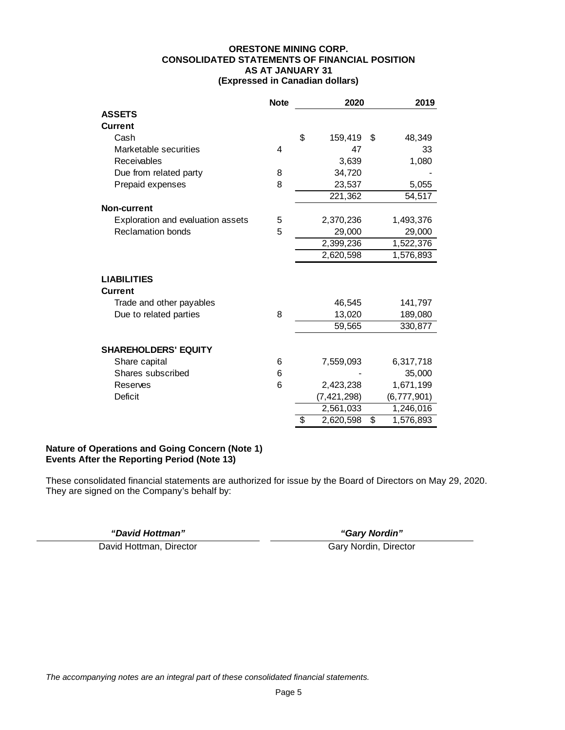### **ORESTONE MINING CORP. CONSOLIDATED STATEMENTS OF FINANCIAL POSITION AS AT JANUARY 31 (Expressed in Canadian dollars)**

|                                   | <b>Note</b> | 2020            | 2019 |             |
|-----------------------------------|-------------|-----------------|------|-------------|
| <b>ASSETS</b>                     |             |                 |      |             |
| <b>Current</b>                    |             |                 |      |             |
| Cash                              |             | \$<br>159,419   | \$   | 48,349      |
| Marketable securities             | 4           | 47              |      | 33          |
| Receivables                       |             | 3,639           |      | 1,080       |
| Due from related party            | 8           | 34,720          |      |             |
| Prepaid expenses                  | 8           | 23,537          |      | 5,055       |
|                                   |             | 221,362         |      | 54,517      |
| Non-current                       |             |                 |      |             |
| Exploration and evaluation assets | 5           | 2,370,236       |      | 1,493,376   |
| <b>Reclamation bonds</b>          | 5           | 29,000          |      | 29,000      |
|                                   |             | 2,399,236       |      | 1,522,376   |
|                                   |             | 2,620,598       |      | 1,576,893   |
|                                   |             |                 |      |             |
| <b>LIABILITIES</b>                |             |                 |      |             |
| <b>Current</b>                    |             |                 |      |             |
| Trade and other payables          |             | 46,545          |      | 141,797     |
| Due to related parties            | 8           | 13,020          |      | 189,080     |
|                                   |             | 59,565          |      | 330,877     |
|                                   |             |                 |      |             |
| <b>SHAREHOLDERS' EQUITY</b>       |             |                 |      |             |
| Share capital                     | 6           | 7,559,093       |      | 6,317,718   |
| Shares subscribed                 | 6           |                 |      | 35,000      |
| Reserves                          | 6           | 2,423,238       |      | 1,671,199   |
| <b>Deficit</b>                    |             | (7, 421, 298)   |      | (6,777,901) |
|                                   |             | 2,561,033       |      | 1,246,016   |
|                                   |             | \$<br>2,620,598 | \$   | 1,576,893   |

# **Nature of Operations and Going Concern (Note 1) Events After the Reporting Period (Note 13)**

These consolidated financial statements are authorized for issue by the Board of Directors on May 29, 2020. They are signed on the Company's behalf by:

*"David Hottman" "Gary Nordin"* 

David Hottman, Director Gary Nordin, Director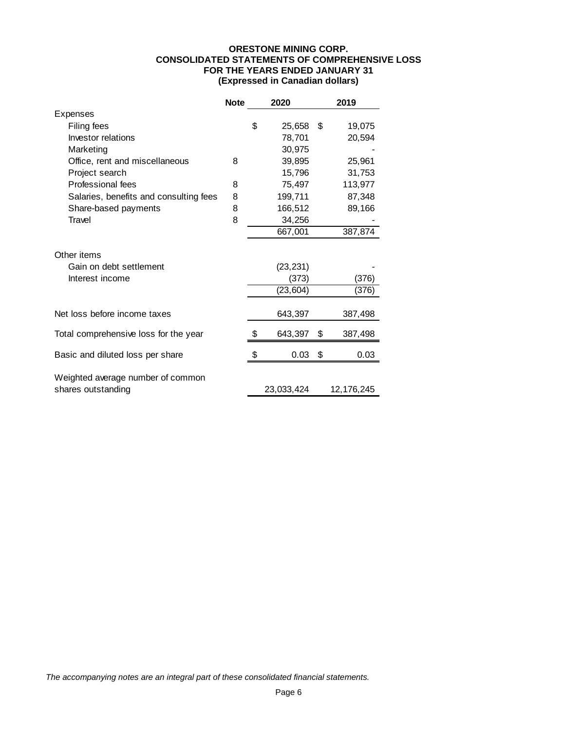# **ORESTONE MINING CORP. CONSOLIDATED STATEMENTS OF COMPREHENSIVE LOSS FOR THE YEARS ENDED JANUARY 31 (Expressed in Canadian dollars)**

|                                                         | <b>Note</b> | 2020 |            | 2019          |
|---------------------------------------------------------|-------------|------|------------|---------------|
| Expenses                                                |             |      |            |               |
| Filing fees                                             |             | \$   | 25,658     | \$<br>19,075  |
| Investor relations                                      |             |      | 78,701     | 20,594        |
| Marketing                                               |             |      | 30,975     |               |
| Office, rent and miscellaneous                          | 8           |      | 39,895     | 25,961        |
| Project search                                          |             |      | 15,796     | 31,753        |
| Professional fees                                       | 8           |      | 75,497     | 113,977       |
| Salaries, benefits and consulting fees                  | 8           |      | 199,711    | 87,348        |
| Share-based payments                                    | 8           |      | 166,512    | 89,166        |
| Travel                                                  | 8           |      | 34,256     |               |
|                                                         |             |      | 667,001    | 387,874       |
| Other items<br>Gain on debt settlement                  |             |      | (23, 231)  |               |
| Interest income                                         |             |      | (373)      | (376)         |
|                                                         |             |      | (23, 604)  | (376)         |
| Net loss before income taxes                            |             |      | 643,397    | 387,498       |
| Total comprehensive loss for the year                   |             | \$   | 643,397    | \$<br>387,498 |
| Basic and diluted loss per share                        |             | \$   | 0.03       | \$<br>0.03    |
| Weighted average number of common<br>shares outstanding |             |      | 23,033,424 | 12,176,245    |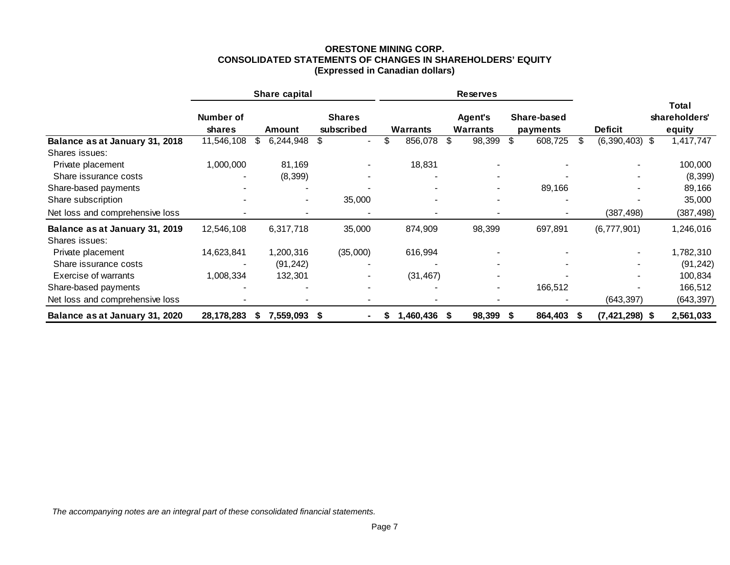# **ORESTONE MINING CORP. CONSOLIDATED STATEMENTS OF CHANGES IN SHAREHOLDERS' EQUITY (Expressed in Canadian dollars)**

|                                                  |                            | Share capital            |                             |                | <b>Reserves</b>                   |                         |                          |                                         |
|--------------------------------------------------|----------------------------|--------------------------|-----------------------------|----------------|-----------------------------------|-------------------------|--------------------------|-----------------------------------------|
|                                                  | Number of<br><b>shares</b> | Amount                   | <b>Shares</b><br>subscribed | Warrants       | <b>Agent's</b><br><b>Warrants</b> | Share-based<br>payments | <b>Deficit</b>           | <b>Total</b><br>shareholders'<br>equity |
| Balance as at January 31, 2018                   | 11,546,108                 | \$<br>6,244,948          | \$<br>$\blacksquare$        | \$<br>856,078  | 98,399<br>S                       | 608,725<br>S            | $(6,390,403)$ \$<br>-S   | 1,417,747                               |
| Shares issues:                                   |                            |                          |                             |                |                                   |                         |                          |                                         |
| Private placement                                | 1,000,000                  | 81,169                   |                             | 18,831         |                                   |                         |                          | 100,000                                 |
| Share issurance costs                            |                            | (8, 399)                 |                             |                |                                   |                         |                          | (8, 399)                                |
| Share-based payments                             |                            |                          |                             |                | -                                 | 89,166                  | $\blacksquare$           | 89,166                                  |
| Share subscription                               |                            | $\overline{\phantom{a}}$ | 35,000                      |                | $\overline{\phantom{a}}$          |                         |                          | 35,000                                  |
| Net loss and comprehensive loss                  |                            |                          |                             |                |                                   |                         | (387, 498)               | (387, 498)                              |
| Balance as at January 31, 2019<br>Shares issues: | 12,546,108                 | 6,317,718                | 35,000                      | 874,909        | 98,399                            | 697,891                 | (6,777,901)              | 1,246,016                               |
| Private placement                                | 14,623,841                 | 1,200,316                | (35,000)                    | 616,994        |                                   |                         |                          | 1,782,310                               |
| Share issurance costs                            |                            | (91, 242)                |                             |                |                                   |                         |                          | (91, 242)                               |
| Exercise of warrants                             | 1,008,334                  | 132,301                  |                             | (31, 467)      |                                   |                         |                          | 100,834                                 |
| Share-based payments                             |                            |                          |                             |                | -                                 | 166,512                 |                          | 166,512                                 |
| Net loss and comprehensive loss                  |                            |                          |                             |                | $\overline{\phantom{a}}$          |                         | (643, 397)               | (643, 397)                              |
| Balance as at January 31, 2020                   | 28,178,283                 | 7,559,093 \$<br>S        |                             | 1,460,436<br>S | 98,399 \$<br>S                    | 864,403                 | $(7,421,298)$ \$<br>- 55 | 2,561,033                               |

*The accompanying notes are an integral part of these consolidated financial statements.*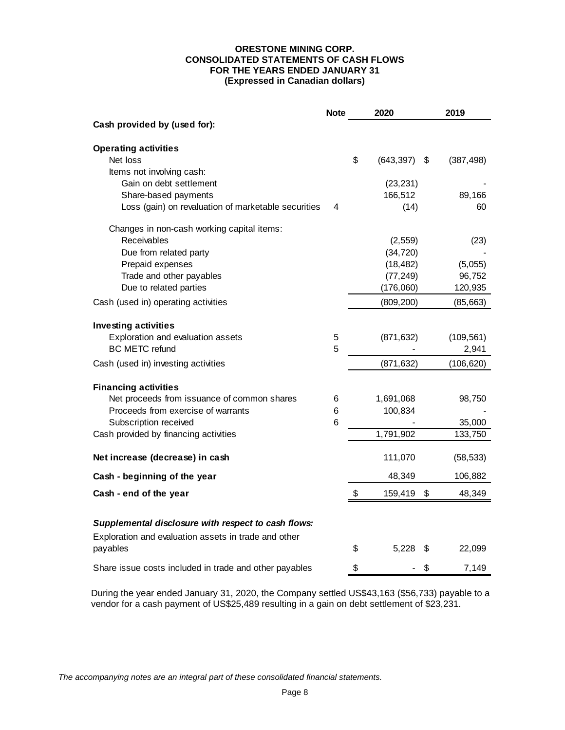# **ORESTONE MINING CORP. CONSOLIDATED STATEMENTS OF CASH FLOWS FOR THE YEARS ENDED JANUARY 31 (Expressed in Canadian dollars)**

|                                                                  | <b>Note</b> | 2020             |    | 2019       |
|------------------------------------------------------------------|-------------|------------------|----|------------|
| Cash provided by (used for):                                     |             |                  |    |            |
| <b>Operating activities</b>                                      |             |                  |    |            |
| Net loss                                                         |             | \$<br>(643, 397) | S  | (387, 498) |
| Items not involving cash:                                        |             |                  |    |            |
| Gain on debt settlement                                          |             | (23, 231)        |    |            |
| Share-based payments                                             |             | 166,512          |    | 89,166     |
| Loss (gain) on revaluation of marketable securities              | 4           | (14)             |    | 60         |
| Changes in non-cash working capital items:                       |             |                  |    |            |
| Receivables                                                      |             | (2, 559)         |    | (23)       |
| Due from related party                                           |             | (34, 720)        |    |            |
| Prepaid expenses                                                 |             | (18, 482)        |    | (5,055)    |
| Trade and other payables                                         |             | (77, 249)        |    | 96,752     |
| Due to related parties                                           |             | (176,060)        |    | 120,935    |
| Cash (used in) operating activities                              |             | (809, 200)       |    | (85, 663)  |
| <b>Investing activities</b>                                      |             |                  |    |            |
| Exploration and evaluation assets                                | 5           | (871, 632)       |    | (109, 561) |
| <b>BC METC refund</b>                                            | 5           |                  |    | 2,941      |
| Cash (used in) investing activities                              |             | (871, 632)       |    | (106, 620) |
| <b>Financing activities</b>                                      |             |                  |    |            |
| Net proceeds from issuance of common shares                      | 6           | 1,691,068        |    | 98,750     |
| Proceeds from exercise of warrants                               | 6           | 100,834          |    |            |
| Subscription received                                            | 6           |                  |    | 35,000     |
| Cash provided by financing activities                            |             | 1,791,902        |    | 133,750    |
| Net increase (decrease) in cash                                  |             | 111,070          |    | (58, 533)  |
| Cash - beginning of the year                                     |             | 48,349           |    | 106,882    |
| Cash - end of the year                                           |             | \$<br>159,419    | \$ | 48,349     |
|                                                                  |             |                  |    |            |
| Supplemental disclosure with respect to cash flows:              |             |                  |    |            |
| Exploration and evaluation assets in trade and other<br>payables |             | \$<br>5,228      | S  | 22,099     |
| Share issue costs included in trade and other payables           |             | \$               | \$ | 7,149      |

During the year ended January 31, 2020, the Company settled US\$43,163 (\$56,733) payable to a vendor for a cash payment of US\$25,489 resulting in a gain on debt settlement of \$23,231.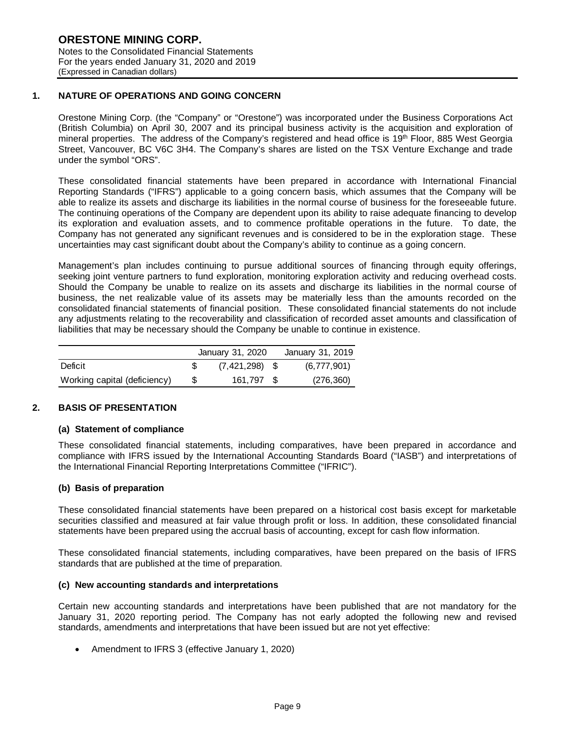### **1. NATURE OF OPERATIONS AND GOING CONCERN**

Orestone Mining Corp. (the "Company" or "Orestone") was incorporated under the Business Corporations Act (British Columbia) on April 30, 2007 and its principal business activity is the acquisition and exploration of mineral properties. The address of the Company's registered and head office is 19<sup>th</sup> Floor, 885 West Georgia Street, Vancouver, BC V6C 3H4. The Company's shares are listed on the TSX Venture Exchange and trade under the symbol "ORS".

These consolidated financial statements have been prepared in accordance with International Financial Reporting Standards ("IFRS") applicable to a going concern basis, which assumes that the Company will be able to realize its assets and discharge its liabilities in the normal course of business for the foreseeable future. The continuing operations of the Company are dependent upon its ability to raise adequate financing to develop its exploration and evaluation assets, and to commence profitable operations in the future. To date, the Company has not generated any significant revenues and is considered to be in the exploration stage. These uncertainties may cast significant doubt about the Company's ability to continue as a going concern.

Management's plan includes continuing to pursue additional sources of financing through equity offerings, seeking joint venture partners to fund exploration, monitoring exploration activity and reducing overhead costs. Should the Company be unable to realize on its assets and discharge its liabilities in the normal course of business, the net realizable value of its assets may be materially less than the amounts recorded on the consolidated financial statements of financial position. These consolidated financial statements do not include any adjustments relating to the recoverability and classification of recorded asset amounts and classification of liabilities that may be necessary should the Company be unable to continue in existence.

|                              |   | January 31, 2020 | January 31, 2019 |             |
|------------------------------|---|------------------|------------------|-------------|
| Deficit                      |   | $(7,421,298)$ \$ |                  | (6,777,901) |
| Working capital (deficiency) | S | 161.797 \$       |                  | (276, 360)  |

# **2. BASIS OF PRESENTATION**

# **(a) Statement of compliance**

These consolidated financial statements, including comparatives, have been prepared in accordance and compliance with IFRS issued by the International Accounting Standards Board ("IASB") and interpretations of the International Financial Reporting Interpretations Committee ("IFRIC").

# **(b) Basis of preparation**

These consolidated financial statements have been prepared on a historical cost basis except for marketable securities classified and measured at fair value through profit or loss. In addition, these consolidated financial statements have been prepared using the accrual basis of accounting, except for cash flow information.

These consolidated financial statements, including comparatives, have been prepared on the basis of IFRS standards that are published at the time of preparation.

#### **(c) New accounting standards and interpretations**

Certain new accounting standards and interpretations have been published that are not mandatory for the January 31, 2020 reporting period. The Company has not early adopted the following new and revised standards, amendments and interpretations that have been issued but are not yet effective:

Amendment to IFRS 3 (effective January 1, 2020)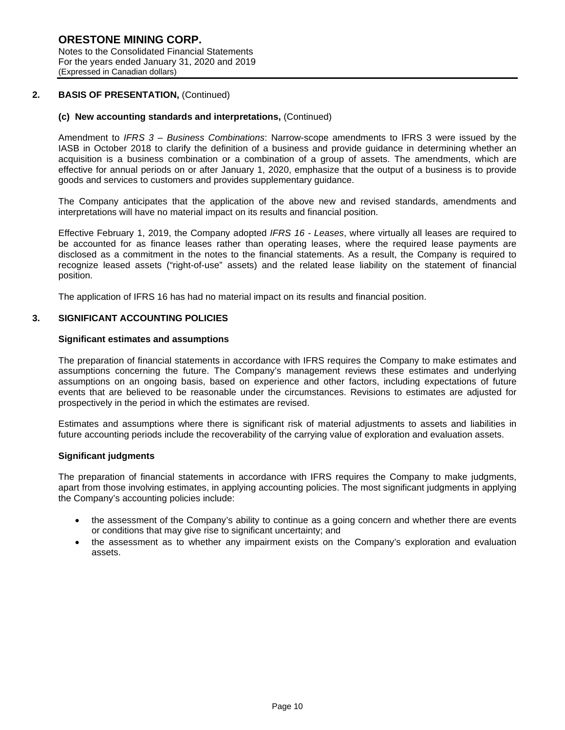### **2. BASIS OF PRESENTATION,** (Continued)

### **(c) New accounting standards and interpretations,** (Continued)

Amendment to *IFRS 3 – Business Combinations*: Narrow-scope amendments to IFRS 3 were issued by the IASB in October 2018 to clarify the definition of a business and provide guidance in determining whether an acquisition is a business combination or a combination of a group of assets. The amendments, which are effective for annual periods on or after January 1, 2020, emphasize that the output of a business is to provide goods and services to customers and provides supplementary guidance.

The Company anticipates that the application of the above new and revised standards, amendments and interpretations will have no material impact on its results and financial position.

Effective February 1, 2019, the Company adopted *IFRS 16 - Leases*, where virtually all leases are required to be accounted for as finance leases rather than operating leases, where the required lease payments are disclosed as a commitment in the notes to the financial statements. As a result, the Company is required to recognize leased assets ("right-of-use" assets) and the related lease liability on the statement of financial position.

The application of IFRS 16 has had no material impact on its results and financial position.

#### **3. SIGNIFICANT ACCOUNTING POLICIES**

### **Significant estimates and assumptions**

The preparation of financial statements in accordance with IFRS requires the Company to make estimates and assumptions concerning the future. The Company's management reviews these estimates and underlying assumptions on an ongoing basis, based on experience and other factors, including expectations of future events that are believed to be reasonable under the circumstances. Revisions to estimates are adjusted for prospectively in the period in which the estimates are revised.

Estimates and assumptions where there is significant risk of material adjustments to assets and liabilities in future accounting periods include the recoverability of the carrying value of exploration and evaluation assets.

#### **Significant judgments**

The preparation of financial statements in accordance with IFRS requires the Company to make judgments, apart from those involving estimates, in applying accounting policies. The most significant judgments in applying the Company's accounting policies include:

- the assessment of the Company's ability to continue as a going concern and whether there are events or conditions that may give rise to significant uncertainty; and
- the assessment as to whether any impairment exists on the Company's exploration and evaluation assets.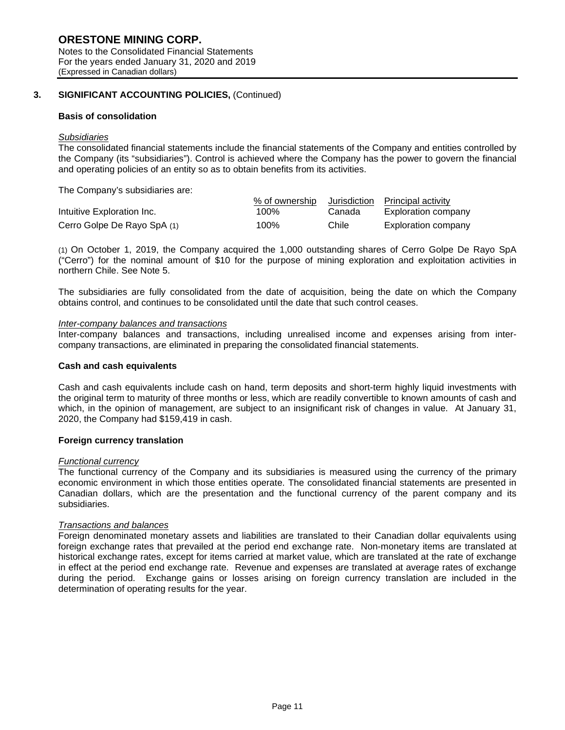Notes to the Consolidated Financial Statements For the years ended January 31, 2020 and 2019 (Expressed in Canadian dollars)

# **3. SIGNIFICANT ACCOUNTING POLICIES,** (Continued)

# **Basis of consolidation**

# *Subsidiaries*

The consolidated financial statements include the financial statements of the Company and entities controlled by the Company (its "subsidiaries"). Control is achieved where the Company has the power to govern the financial and operating policies of an entity so as to obtain benefits from its activities.

The Company's subsidiaries are:

|                             | % of ownership | Jurisdiction | Principal activity  |
|-----------------------------|----------------|--------------|---------------------|
| Intuitive Exploration Inc.  | 100%           | Canada       | Exploration company |
| Cerro Golpe De Rayo SpA (1) | 100%           | Chile        | Exploration company |

(1) On October 1, 2019, the Company acquired the 1,000 outstanding shares of Cerro Golpe De Rayo SpA ("Cerro") for the nominal amount of \$10 for the purpose of mining exploration and exploitation activities in northern Chile. See Note 5.

The subsidiaries are fully consolidated from the date of acquisition, being the date on which the Company obtains control, and continues to be consolidated until the date that such control ceases.

### *Inter-company balances and transactions*

Inter-company balances and transactions, including unrealised income and expenses arising from intercompany transactions, are eliminated in preparing the consolidated financial statements.

### **Cash and cash equivalents**

Cash and cash equivalents include cash on hand, term deposits and short-term highly liquid investments with the original term to maturity of three months or less, which are readily convertible to known amounts of cash and which, in the opinion of management, are subject to an insignificant risk of changes in value. At January 31, 2020, the Company had \$159,419 in cash.

# **Foreign currency translation**

#### *Functional currency*

The functional currency of the Company and its subsidiaries is measured using the currency of the primary economic environment in which those entities operate. The consolidated financial statements are presented in Canadian dollars, which are the presentation and the functional currency of the parent company and its subsidiaries.

# *Transactions and balances*

Foreign denominated monetary assets and liabilities are translated to their Canadian dollar equivalents using foreign exchange rates that prevailed at the period end exchange rate. Non-monetary items are translated at historical exchange rates, except for items carried at market value, which are translated at the rate of exchange in effect at the period end exchange rate. Revenue and expenses are translated at average rates of exchange during the period. Exchange gains or losses arising on foreign currency translation are included in the determination of operating results for the year.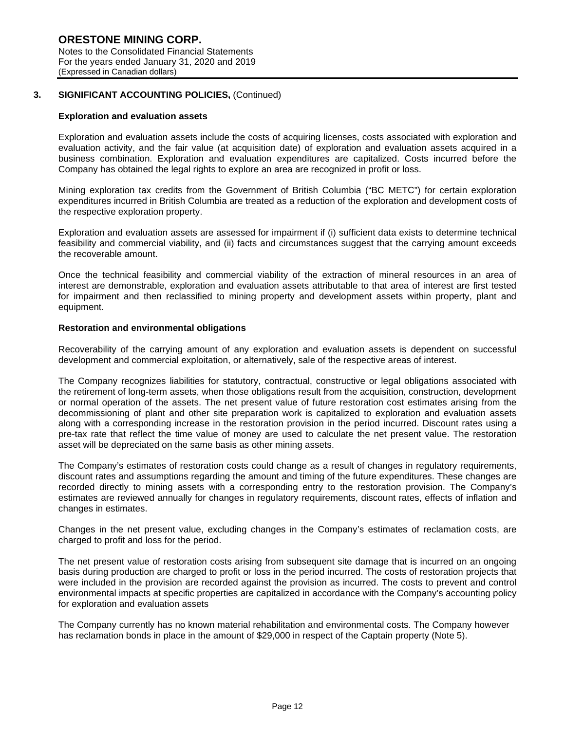### **3. SIGNIFICANT ACCOUNTING POLICIES,** (Continued)

#### **Exploration and evaluation assets**

Exploration and evaluation assets include the costs of acquiring licenses, costs associated with exploration and evaluation activity, and the fair value (at acquisition date) of exploration and evaluation assets acquired in a business combination. Exploration and evaluation expenditures are capitalized. Costs incurred before the Company has obtained the legal rights to explore an area are recognized in profit or loss.

Mining exploration tax credits from the Government of British Columbia ("BC METC") for certain exploration expenditures incurred in British Columbia are treated as a reduction of the exploration and development costs of the respective exploration property.

Exploration and evaluation assets are assessed for impairment if (i) sufficient data exists to determine technical feasibility and commercial viability, and (ii) facts and circumstances suggest that the carrying amount exceeds the recoverable amount.

Once the technical feasibility and commercial viability of the extraction of mineral resources in an area of interest are demonstrable, exploration and evaluation assets attributable to that area of interest are first tested for impairment and then reclassified to mining property and development assets within property, plant and equipment.

#### **Restoration and environmental obligations**

Recoverability of the carrying amount of any exploration and evaluation assets is dependent on successful development and commercial exploitation, or alternatively, sale of the respective areas of interest.

The Company recognizes liabilities for statutory, contractual, constructive or legal obligations associated with the retirement of long-term assets, when those obligations result from the acquisition, construction, development or normal operation of the assets. The net present value of future restoration cost estimates arising from the decommissioning of plant and other site preparation work is capitalized to exploration and evaluation assets along with a corresponding increase in the restoration provision in the period incurred. Discount rates using a pre-tax rate that reflect the time value of money are used to calculate the net present value. The restoration asset will be depreciated on the same basis as other mining assets.

The Company's estimates of restoration costs could change as a result of changes in regulatory requirements, discount rates and assumptions regarding the amount and timing of the future expenditures. These changes are recorded directly to mining assets with a corresponding entry to the restoration provision. The Company's estimates are reviewed annually for changes in regulatory requirements, discount rates, effects of inflation and changes in estimates.

Changes in the net present value, excluding changes in the Company's estimates of reclamation costs, are charged to profit and loss for the period.

The net present value of restoration costs arising from subsequent site damage that is incurred on an ongoing basis during production are charged to profit or loss in the period incurred. The costs of restoration projects that were included in the provision are recorded against the provision as incurred. The costs to prevent and control environmental impacts at specific properties are capitalized in accordance with the Company's accounting policy for exploration and evaluation assets

The Company currently has no known material rehabilitation and environmental costs. The Company however has reclamation bonds in place in the amount of \$29,000 in respect of the Captain property (Note 5).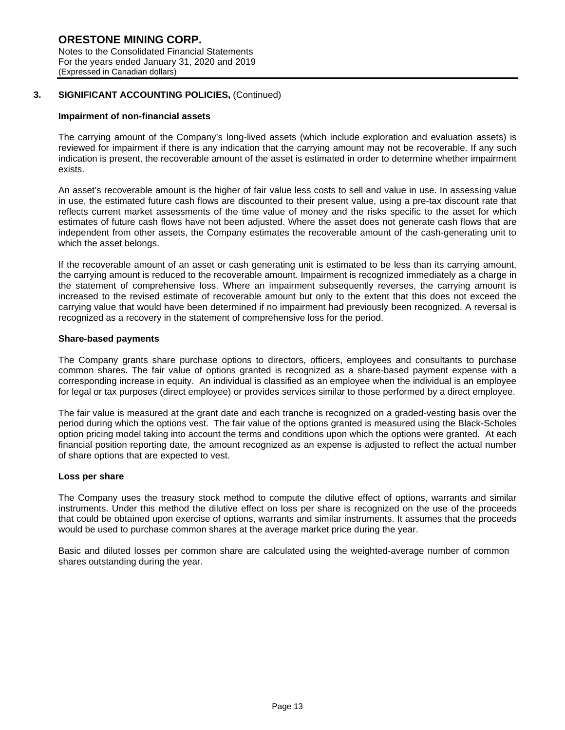For the years ended January 31, 2020 and 2019 (Expressed in Canadian dollars)

# **3. SIGNIFICANT ACCOUNTING POLICIES,** (Continued)

# **Impairment of non-financial assets**

The carrying amount of the Company's long-lived assets (which include exploration and evaluation assets) is reviewed for impairment if there is any indication that the carrying amount may not be recoverable. If any such indication is present, the recoverable amount of the asset is estimated in order to determine whether impairment exists.

An asset's recoverable amount is the higher of fair value less costs to sell and value in use. In assessing value in use, the estimated future cash flows are discounted to their present value, using a pre-tax discount rate that reflects current market assessments of the time value of money and the risks specific to the asset for which estimates of future cash flows have not been adjusted. Where the asset does not generate cash flows that are independent from other assets, the Company estimates the recoverable amount of the cash-generating unit to which the asset belongs.

If the recoverable amount of an asset or cash generating unit is estimated to be less than its carrying amount, the carrying amount is reduced to the recoverable amount. Impairment is recognized immediately as a charge in the statement of comprehensive loss. Where an impairment subsequently reverses, the carrying amount is increased to the revised estimate of recoverable amount but only to the extent that this does not exceed the carrying value that would have been determined if no impairment had previously been recognized. A reversal is recognized as a recovery in the statement of comprehensive loss for the period.

# **Share-based payments**

The Company grants share purchase options to directors, officers, employees and consultants to purchase common shares. The fair value of options granted is recognized as a share-based payment expense with a corresponding increase in equity. An individual is classified as an employee when the individual is an employee for legal or tax purposes (direct employee) or provides services similar to those performed by a direct employee.

The fair value is measured at the grant date and each tranche is recognized on a graded-vesting basis over the period during which the options vest. The fair value of the options granted is measured using the Black-Scholes option pricing model taking into account the terms and conditions upon which the options were granted. At each financial position reporting date, the amount recognized as an expense is adjusted to reflect the actual number of share options that are expected to vest.

# **Loss per share**

The Company uses the treasury stock method to compute the dilutive effect of options, warrants and similar instruments. Under this method the dilutive effect on loss per share is recognized on the use of the proceeds that could be obtained upon exercise of options, warrants and similar instruments. It assumes that the proceeds would be used to purchase common shares at the average market price during the year.

Basic and diluted losses per common share are calculated using the weighted-average number of common shares outstanding during the year.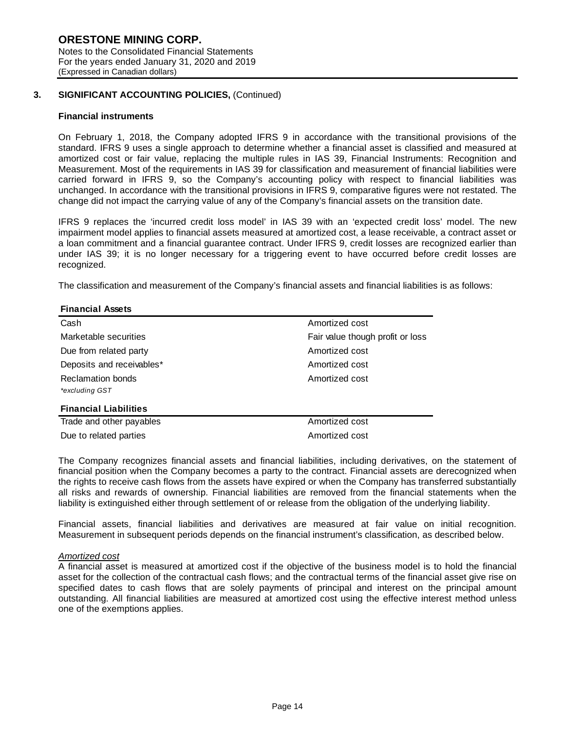### **3. SIGNIFICANT ACCOUNTING POLICIES,** (Continued)

### **Financial instruments**

On February 1, 2018, the Company adopted IFRS 9 in accordance with the transitional provisions of the standard. IFRS 9 uses a single approach to determine whether a financial asset is classified and measured at amortized cost or fair value, replacing the multiple rules in IAS 39, Financial Instruments: Recognition and Measurement. Most of the requirements in IAS 39 for classification and measurement of financial liabilities were carried forward in IFRS 9, so the Company's accounting policy with respect to financial liabilities was unchanged. In accordance with the transitional provisions in IFRS 9, comparative figures were not restated. The change did not impact the carrying value of any of the Company's financial assets on the transition date.

IFRS 9 replaces the 'incurred credit loss model' in IAS 39 with an 'expected credit loss' model. The new impairment model applies to financial assets measured at amortized cost, a lease receivable, a contract asset or a loan commitment and a financial guarantee contract. Under IFRS 9, credit losses are recognized earlier than under IAS 39; it is no longer necessary for a triggering event to have occurred before credit losses are recognized.

The classification and measurement of the Company's financial assets and financial liabilities is as follows:

#### **Financial Assets**

| Cash                         | Amortized cost                   |  |  |  |  |  |
|------------------------------|----------------------------------|--|--|--|--|--|
| Marketable securities        | Fair value though profit or loss |  |  |  |  |  |
| Due from related party       | Amortized cost                   |  |  |  |  |  |
| Deposits and receivables*    | Amortized cost                   |  |  |  |  |  |
| Reclamation bonds            | Amortized cost                   |  |  |  |  |  |
| *excluding GST               |                                  |  |  |  |  |  |
| <b>Financial Liabilities</b> |                                  |  |  |  |  |  |
| Trade and other payables     | Amortized cost                   |  |  |  |  |  |
| Due to related parties       | Amortized cost                   |  |  |  |  |  |

The Company recognizes financial assets and financial liabilities, including derivatives, on the statement of financial position when the Company becomes a party to the contract. Financial assets are derecognized when the rights to receive cash flows from the assets have expired or when the Company has transferred substantially all risks and rewards of ownership. Financial liabilities are removed from the financial statements when the liability is extinguished either through settlement of or release from the obligation of the underlying liability.

Financial assets, financial liabilities and derivatives are measured at fair value on initial recognition. Measurement in subsequent periods depends on the financial instrument's classification, as described below.

#### *Amortized cost*

A financial asset is measured at amortized cost if the objective of the business model is to hold the financial asset for the collection of the contractual cash flows; and the contractual terms of the financial asset give rise on specified dates to cash flows that are solely payments of principal and interest on the principal amount outstanding. All financial liabilities are measured at amortized cost using the effective interest method unless one of the exemptions applies.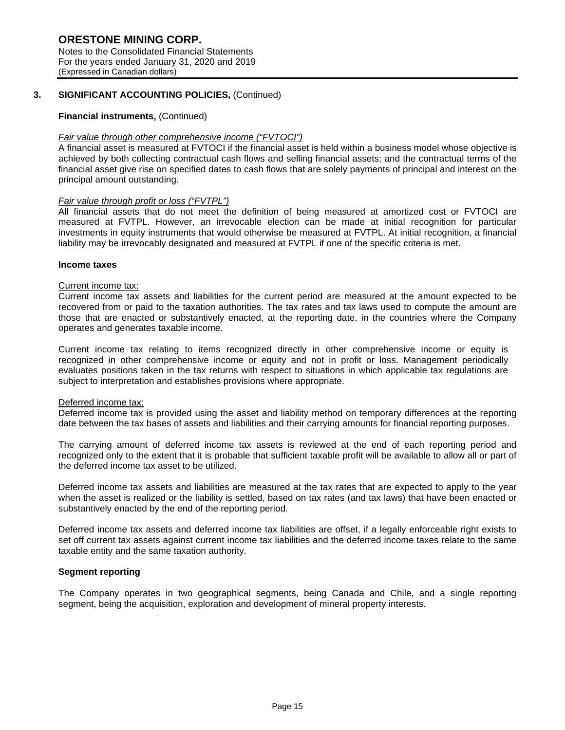Notes to the Consolidated Financial Statements For the years ended January 31, 2020 and 2019 (Expressed in Canadian dollars)

# **3. SIGNIFICANT ACCOUNTING POLICIES,** (Continued)

# **Financial instruments,** (Continued)

# *Fair value through other comprehensive income ("FVTOCI")*

A financial asset is measured at FVTOCI if the financial asset is held within a business model whose objective is achieved by both collecting contractual cash flows and selling financial assets; and the contractual terms of the financial asset give rise on specified dates to cash flows that are solely payments of principal and interest on the principal amount outstanding.

# *Fair value through profit or loss ("FVTPL")*

All financial assets that do not meet the definition of being measured at amortized cost or FVTOCI are measured at FVTPL. However, an irrevocable election can be made at initial recognition for particular investments in equity instruments that would otherwise be measured at FVTPL. At initial recognition, a financial liability may be irrevocably designated and measured at FVTPL if one of the specific criteria is met.

# **Income taxes**

### Current income tax:

Current income tax assets and liabilities for the current period are measured at the amount expected to be recovered from or paid to the taxation authorities. The tax rates and tax laws used to compute the amount are those that are enacted or substantively enacted, at the reporting date, in the countries where the Company operates and generates taxable income.

Current income tax relating to items recognized directly in other comprehensive income or equity is recognized in other comprehensive income or equity and not in profit or loss. Management periodically evaluates positions taken in the tax returns with respect to situations in which applicable tax regulations are subject to interpretation and establishes provisions where appropriate.

# Deferred income tax:

Deferred income tax is provided using the asset and liability method on temporary differences at the reporting date between the tax bases of assets and liabilities and their carrying amounts for financial reporting purposes.

The carrying amount of deferred income tax assets is reviewed at the end of each reporting period and recognized only to the extent that it is probable that sufficient taxable profit will be available to allow all or part of the deferred income tax asset to be utilized.

Deferred income tax assets and liabilities are measured at the tax rates that are expected to apply to the year when the asset is realized or the liability is settled, based on tax rates (and tax laws) that have been enacted or substantively enacted by the end of the reporting period.

Deferred income tax assets and deferred income tax liabilities are offset, if a legally enforceable right exists to set off current tax assets against current income tax liabilities and the deferred income taxes relate to the same taxable entity and the same taxation authority.

# **Segment reporting**

The Company operates in two geographical segments, being Canada and Chile, and a single reporting segment, being the acquisition, exploration and development of mineral property interests.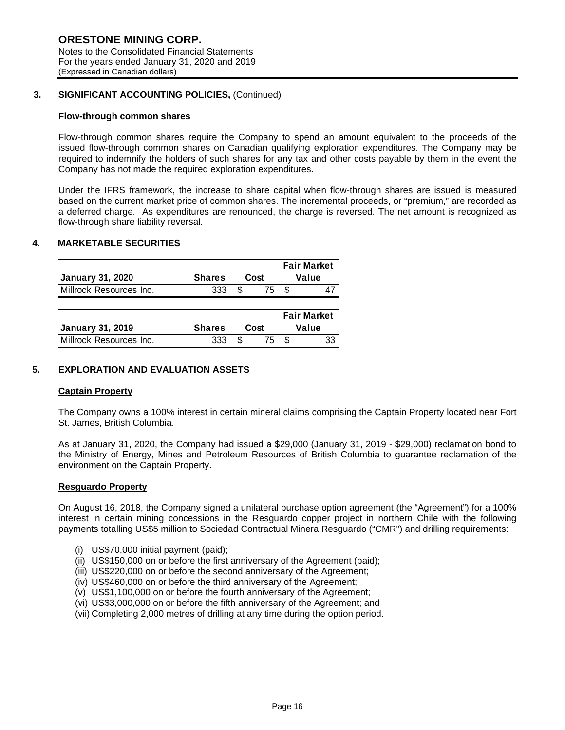# **3. SIGNIFICANT ACCOUNTING POLICIES,** (Continued)

### **Flow-through common shares**

Flow-through common shares require the Company to spend an amount equivalent to the proceeds of the issued flow-through common shares on Canadian qualifying exploration expenditures. The Company may be required to indemnify the holders of such shares for any tax and other costs payable by them in the event the Company has not made the required exploration expenditures.

Under the IFRS framework, the increase to share capital when flow-through shares are issued is measured based on the current market price of common shares. The incremental proceeds, or "premium," are recorded as a deferred charge. As expenditures are renounced, the charge is reversed. The net amount is recognized as flow-through share liability reversal.

# **4. MARKETABLE SECURITIES**

| <b>January 31, 2020</b> | <b>Shares</b>      |      | Cost |   | <b>Fair Market</b><br>Value |  |  |
|-------------------------|--------------------|------|------|---|-----------------------------|--|--|
|                         |                    |      |      |   |                             |  |  |
| Millrock Resources Inc. | 333                | S    | 75   |   |                             |  |  |
|                         | <b>Fair Market</b> |      |      |   |                             |  |  |
| <b>January 31, 2019</b> | <b>Shares</b>      | Cost |      |   | Value                       |  |  |
| Millrock Resources Inc. | 333                | S.   | 75   | S | 33                          |  |  |

# **5. EXPLORATION AND EVALUATION ASSETS**

#### **Captain Property**

The Company owns a 100% interest in certain mineral claims comprising the Captain Property located near Fort St. James, British Columbia.

As at January 31, 2020, the Company had issued a \$29,000 (January 31, 2019 - \$29,000) reclamation bond to the Ministry of Energy, Mines and Petroleum Resources of British Columbia to guarantee reclamation of the environment on the Captain Property.

#### **Resguardo Property**

On August 16, 2018, the Company signed a unilateral purchase option agreement (the "Agreement") for a 100% interest in certain mining concessions in the Resguardo copper project in northern Chile with the following payments totalling US\$5 million to Sociedad Contractual Minera Resguardo ("CMR") and drilling requirements:

- (i) US\$70,000 initial payment (paid);
- (ii) US\$150,000 on or before the first anniversary of the Agreement (paid);
- (iii) US\$220,000 on or before the second anniversary of the Agreement;
- (iv) US\$460,000 on or before the third anniversary of the Agreement;
- (v) US\$1,100,000 on or before the fourth anniversary of the Agreement;
- (vi) US\$3,000,000 on or before the fifth anniversary of the Agreement; and
- (vii) Completing 2,000 metres of drilling at any time during the option period.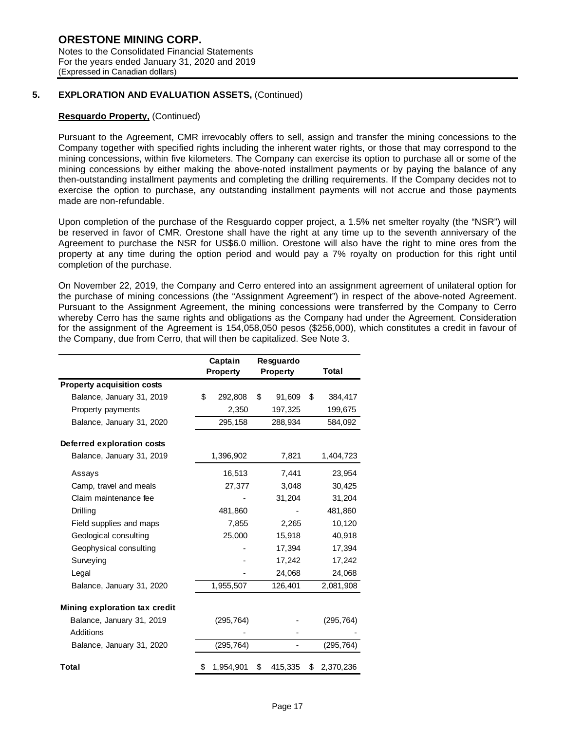### **5. EXPLORATION AND EVALUATION ASSETS,** (Continued)

# **Resguardo Property,** (Continued)

Pursuant to the Agreement, CMR irrevocably offers to sell, assign and transfer the mining concessions to the Company together with specified rights including the inherent water rights, or those that may correspond to the mining concessions, within five kilometers. The Company can exercise its option to purchase all or some of the mining concessions by either making the above-noted installment payments or by paying the balance of any then-outstanding installment payments and completing the drilling requirements. If the Company decides not to exercise the option to purchase, any outstanding installment payments will not accrue and those payments made are non-refundable.

Upon completion of the purchase of the Resguardo copper project, a 1.5% net smelter royalty (the "NSR") will be reserved in favor of CMR. Orestone shall have the right at any time up to the seventh anniversary of the Agreement to purchase the NSR for US\$6.0 million. Orestone will also have the right to mine ores from the property at any time during the option period and would pay a 7% royalty on production for this right until completion of the purchase.

On November 22, 2019, the Company and Cerro entered into an assignment agreement of unilateral option for the purchase of mining concessions (the "Assignment Agreement") in respect of the above-noted Agreement. Pursuant to the Assignment Agreement, the mining concessions were transferred by the Company to Cerro whereby Cerro has the same rights and obligations as the Company had under the Agreement. Consideration for the assignment of the Agreement is 154,058,050 pesos (\$256,000), which constitutes a credit in favour of the Company, due from Cerro, that will then be capitalized. See Note 3.

|                                   | Captain |                 | Resguardo       |                 |
|-----------------------------------|---------|-----------------|-----------------|-----------------|
|                                   |         | <b>Property</b> | <b>Property</b> | Total           |
| <b>Property acquisition costs</b> |         |                 |                 |                 |
| Balance, January 31, 2019         | \$      | 292,808         | \$<br>91,609    | \$<br>384,417   |
| Property payments                 |         | 2,350           | 197,325         | 199,675         |
| Balance, January 31, 2020         |         | 295,158         | 288,934         | 584,092         |
| Deferred exploration costs        |         |                 |                 |                 |
| Balance, January 31, 2019         |         | 1,396,902       | 7,821           | 1,404,723       |
| Assays                            |         | 16,513          | 7,441           | 23,954          |
| Camp, travel and meals            |         | 27,377          | 3,048           | 30,425          |
| Claim maintenance fee             |         |                 | 31,204          | 31,204          |
| Drilling                          |         | 481,860         |                 | 481,860         |
| Field supplies and maps           |         | 7,855           | 2,265           | 10,120          |
| Geological consulting             |         | 25,000          | 15,918          | 40,918          |
| Geophysical consulting            |         |                 | 17,394          | 17,394          |
| Surveying                         |         |                 | 17,242          | 17,242          |
| Legal                             |         |                 | 24,068          | 24,068          |
| Balance, January 31, 2020         |         | 1,955,507       | 126,401         | 2,081,908       |
| Mining exploration tax credit     |         |                 |                 |                 |
| Balance, January 31, 2019         |         | (295, 764)      |                 | (295, 764)      |
| Additions                         |         |                 |                 |                 |
| Balance, January 31, 2020         |         | (295, 764)      |                 | (295,764)       |
| Total                             | \$      | 1,954,901       | \$<br>415,335   | \$<br>2,370,236 |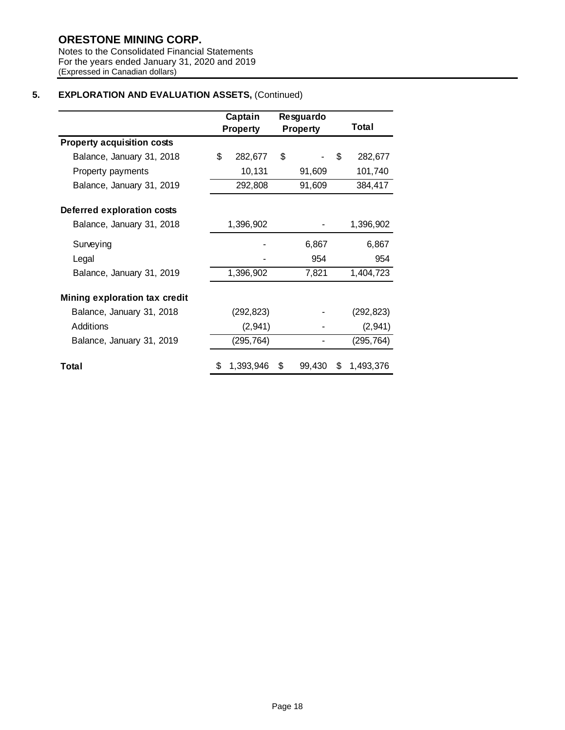# **ORESTONE MINING CORP.**

Notes to the Consolidated Financial Statements For the years ended January 31, 2020 and 2019 (Expressed in Canadian dollars)

# **5. EXPLORATION AND EVALUATION ASSETS,** (Continued)

|                                   | Captain<br><b>Property</b> | Resguardo<br><b>Property</b> |        |    | Total      |
|-----------------------------------|----------------------------|------------------------------|--------|----|------------|
| <b>Property acquisition costs</b> |                            |                              |        |    |            |
| Balance, January 31, 2018         | \$<br>282,677              | \$                           |        | \$ | 282,677    |
| Property payments                 | 10,131                     |                              | 91,609 |    | 101,740    |
| Balance, January 31, 2019         | 292,808                    |                              | 91,609 |    | 384,417    |
| Deferred exploration costs        |                            |                              |        |    |            |
| Balance, January 31, 2018         | 1,396,902                  |                              |        |    | 1,396,902  |
| Surveying                         |                            |                              | 6,867  |    | 6,867      |
| Legal                             |                            |                              | 954    |    | 954        |
| Balance, January 31, 2019         | 1,396,902                  | 7,821                        |        |    | 1,404,723  |
| Mining exploration tax credit     |                            |                              |        |    |            |
| Balance, January 31, 2018         | (292, 823)                 |                              |        |    | (292, 823) |
| Additions                         | (2,941)                    |                              |        |    | (2,941)    |
| Balance, January 31, 2019         | (295, 764)                 |                              |        |    | (295, 764) |
| Total                             | \$<br>1,393,946            | \$                           | 99,430 | S. | 1,493,376  |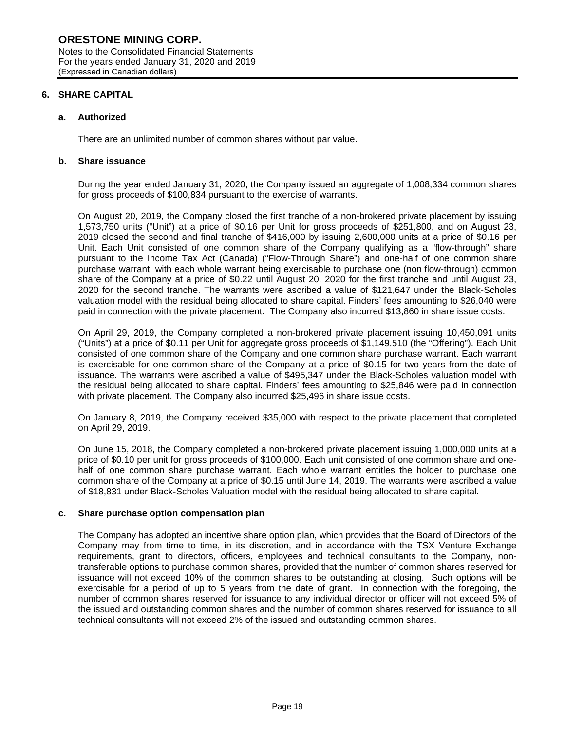(Expressed in Canadian dollars)

**6. SHARE CAPITAL** 

### **a. Authorized**

There are an unlimited number of common shares without par value.

### **b. Share issuance**

During the year ended January 31, 2020, the Company issued an aggregate of 1,008,334 common shares for gross proceeds of \$100,834 pursuant to the exercise of warrants.

On August 20, 2019, the Company closed the first tranche of a non-brokered private placement by issuing 1,573,750 units ("Unit") at a price of \$0.16 per Unit for gross proceeds of \$251,800, and on August 23, 2019 closed the second and final tranche of \$416,000 by issuing 2,600,000 units at a price of \$0.16 per Unit. Each Unit consisted of one common share of the Company qualifying as a "flow-through" share pursuant to the Income Tax Act (Canada) ("Flow-Through Share") and one-half of one common share purchase warrant, with each whole warrant being exercisable to purchase one (non flow-through) common share of the Company at a price of \$0.22 until August 20, 2020 for the first tranche and until August 23, 2020 for the second tranche. The warrants were ascribed a value of \$121,647 under the Black-Scholes valuation model with the residual being allocated to share capital. Finders' fees amounting to \$26,040 were paid in connection with the private placement. The Company also incurred \$13,860 in share issue costs.

On April 29, 2019, the Company completed a non-brokered private placement issuing 10,450,091 units ("Units") at a price of \$0.11 per Unit for aggregate gross proceeds of \$1,149,510 (the "Offering"). Each Unit consisted of one common share of the Company and one common share purchase warrant. Each warrant is exercisable for one common share of the Company at a price of \$0.15 for two years from the date of issuance. The warrants were ascribed a value of \$495,347 under the Black-Scholes valuation model with the residual being allocated to share capital. Finders' fees amounting to \$25,846 were paid in connection with private placement. The Company also incurred \$25,496 in share issue costs.

On January 8, 2019, the Company received \$35,000 with respect to the private placement that completed on April 29, 2019.

On June 15, 2018, the Company completed a non-brokered private placement issuing 1,000,000 units at a price of \$0.10 per unit for gross proceeds of \$100,000. Each unit consisted of one common share and onehalf of one common share purchase warrant. Each whole warrant entitles the holder to purchase one common share of the Company at a price of \$0.15 until June 14, 2019. The warrants were ascribed a value of \$18,831 under Black-Scholes Valuation model with the residual being allocated to share capital.

#### **c. Share purchase option compensation plan**

The Company has adopted an incentive share option plan, which provides that the Board of Directors of the Company may from time to time, in its discretion, and in accordance with the TSX Venture Exchange requirements, grant to directors, officers, employees and technical consultants to the Company, nontransferable options to purchase common shares, provided that the number of common shares reserved for issuance will not exceed 10% of the common shares to be outstanding at closing. Such options will be exercisable for a period of up to 5 years from the date of grant. In connection with the foregoing, the number of common shares reserved for issuance to any individual director or officer will not exceed 5% of the issued and outstanding common shares and the number of common shares reserved for issuance to all technical consultants will not exceed 2% of the issued and outstanding common shares.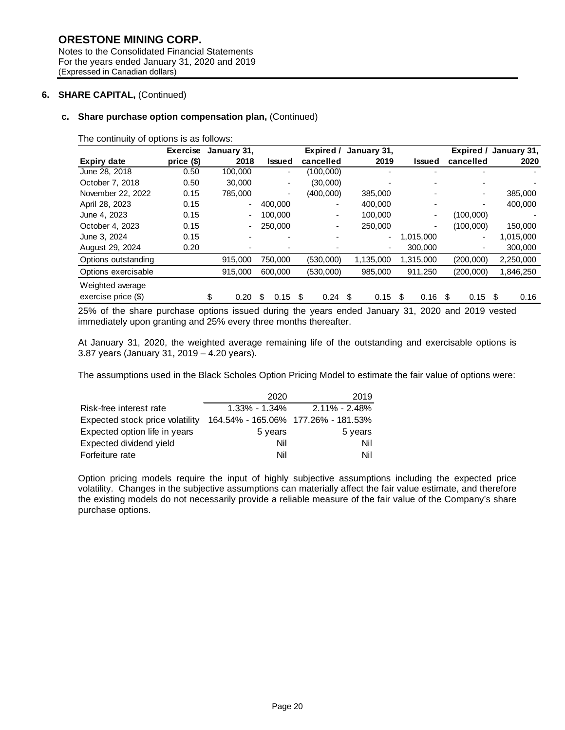# **ORESTONE MINING CORP.**

Notes to the Consolidated Financial Statements For the years ended January 31, 2020 and 2019 (Expressed in Canadian dollars)

# **6. SHARE CAPITAL,** (Continued)

# **c. Share purchase option compensation plan,** (Continued)

The continuity of options is as follows:

|                                           | <b>Exercise</b> | January 31, |                | Expired /   | January 31,    |               |                          | Expired / January 31, |
|-------------------------------------------|-----------------|-------------|----------------|-------------|----------------|---------------|--------------------------|-----------------------|
| <b>Expiry date</b>                        | price (\$)      | 2018        | Issued         | cancelled   | 2019           | <b>Issued</b> | cancelled                | 2020                  |
| June 28, 2018                             | 0.50            | 100,000     | ٠              | (100,000)   |                |               |                          |                       |
| October 7, 2018                           | 0.50            | 30,000      | ٠              | (30,000)    | $\overline{a}$ |               |                          |                       |
| November 22, 2022                         | 0.15            | 785,000     | ٠              | (400,000)   | 385,000        |               | $\overline{\phantom{a}}$ | 385,000               |
| April 28, 2023                            | 0.15            |             | 400,000        | -           | 400.000        |               | $\overline{\phantom{a}}$ | 400,000               |
| June 4, 2023                              | 0.15            |             | 100,000        | ۰.          | 100.000        |               | (100,000)                |                       |
| October 4, 2023                           | 0.15            |             | 250,000        | -           | 250,000        | ٠             | (100,000)                | 150,000               |
| June 3, 2024                              | 0.15            |             | $\blacksquare$ |             | ٠              | 1,015,000     | ۰                        | 1,015,000             |
| August 29, 2024                           | 0.20            |             |                |             | ٠              | 300,000       |                          | 300,000               |
| Options outstanding                       |                 | 915,000     | 750.000        | (530,000)   | 1,135,000      | 1,315,000     | (200,000)                | 2,250,000             |
| Options exercisable                       |                 | 915,000     | 600,000        | (530,000)   | 985,000        | 911,250       | (200,000)                | 1,846,250             |
| Weighted average<br>exercise price $(\$)$ |                 | \$<br>0.20  | 0.15<br>\$     | 0.24<br>\$. | 0.15<br>-S     | \$<br>0.16    | 0.15<br>\$.              | 0.16<br>- \$          |

25% of the share purchase options issued during the years ended January 31, 2020 and 2019 vested immediately upon granting and 25% every three months thereafter.

At January 31, 2020, the weighted average remaining life of the outstanding and exercisable options is 3.87 years (January 31, 2019 – 4.20 years).

The assumptions used in the Black Scholes Option Pricing Model to estimate the fair value of options were:

|                                 | 2020                                | 2019              |
|---------------------------------|-------------------------------------|-------------------|
| Risk-free interest rate         | $1.33\% - 1.34\%$                   | $2.11\% - 2.48\%$ |
| Expected stock price volatility | 164.54% - 165.06% 177.26% - 181.53% |                   |
| Expected option life in years   | 5 years                             | 5 years           |
| Expected dividend yield         | Nil                                 | Nil               |
| Forfeiture rate                 | Nil                                 | Nil               |

Option pricing models require the input of highly subjective assumptions including the expected price volatility. Changes in the subjective assumptions can materially affect the fair value estimate, and therefore the existing models do not necessarily provide a reliable measure of the fair value of the Company's share purchase options.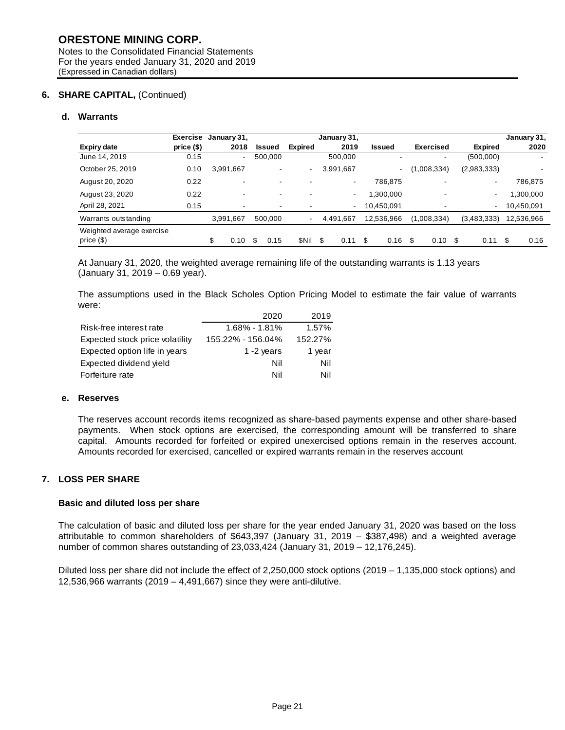# **6. SHARE CAPITAL,** (Continued)

# **d. Warrants**

|                                        | <b>Exercise</b> | January 31,              |                          |                | January 31, |               |                          |                          | January 31, |
|----------------------------------------|-----------------|--------------------------|--------------------------|----------------|-------------|---------------|--------------------------|--------------------------|-------------|
| <b>Expiry date</b>                     | price(\$)       | 2018                     | <b>Issued</b>            | <b>Expired</b> | 2019        | <b>Issued</b> | <b>Exercised</b>         | <b>Expired</b>           | 2020        |
| June 14, 2019                          | 0.15            | $\blacksquare$           | 500,000                  |                | 500,000     | -             | -                        | (500,000)                |             |
| October 25, 2019                       | 0.10            | 3,991,667                | $\overline{\phantom{a}}$ |                | 3,991,667   | ۰.            | (1,008,334)              | (2,983,333)              |             |
| August 20, 2020                        | 0.22            | $\overline{\phantom{a}}$ | $\overline{\phantom{a}}$ |                | ۰           | 786,875       | $\overline{\phantom{0}}$ | $\overline{\phantom{a}}$ | 786,875     |
| August 23, 2020                        | 0.22            | $\blacksquare$           | $\overline{\phantom{a}}$ |                | ۰           | .300,000 ا    | $\blacksquare$           | $\overline{\phantom{a}}$ | 1,300,000   |
| April 28, 2021                         | 0.15            | $\overline{\phantom{0}}$ | $\overline{\phantom{a}}$ |                |             | 10,450,091    | $\overline{\phantom{0}}$ | $\overline{\phantom{a}}$ | 10,450,091  |
| Warrants outstanding                   |                 | 3.991.667                | 500,000                  | $\blacksquare$ | 4.491.667   | 12,536,966    | (1,008,334)              | (3,483,333)              | 12,536,966  |
| Weighted average exercise<br>price(\$) |                 | \$<br>0.10               | \$<br>0.15               | <b>SNil</b>    | \$<br>0.11  | \$<br>0.16    | \$<br>0.10               | \$<br>0.11               | \$<br>0.16  |

At January 31, 2020, the weighted average remaining life of the outstanding warrants is 1.13 years (January 31, 2019 – 0.69 year).

The assumptions used in the Black Scholes Option Pricing Model to estimate the fair value of warrants were:

|                                 | 2020              | 2019    |
|---------------------------------|-------------------|---------|
| Risk-free interest rate         | $1.68\% - 1.81\%$ | 1.57%   |
| Expected stock price volatility | 155.22% - 156.04% | 152.27% |
| Expected option life in years   | 1 $-2$ years      | 1 year  |
| Expected dividend yield         | Nil               | Nil     |
| Forfeiture rate                 | Nil               | Nil     |

#### **e. Reserves**

The reserves account records items recognized as share-based payments expense and other share-based payments. When stock options are exercised, the corresponding amount will be transferred to share capital. Amounts recorded for forfeited or expired unexercised options remain in the reserves account. Amounts recorded for exercised, cancelled or expired warrants remain in the reserves account

# **7. LOSS PER SHARE**

# **Basic and diluted loss per share**

The calculation of basic and diluted loss per share for the year ended January 31, 2020 was based on the loss attributable to common shareholders of \$643,397 (January 31, 2019 – \$387,498) and a weighted average number of common shares outstanding of 23,033,424 (January 31, 2019 – 12,176,245).

Diluted loss per share did not include the effect of 2,250,000 stock options (2019 – 1,135,000 stock options) and 12,536,966 warrants (2019 – 4,491,667) since they were anti-dilutive.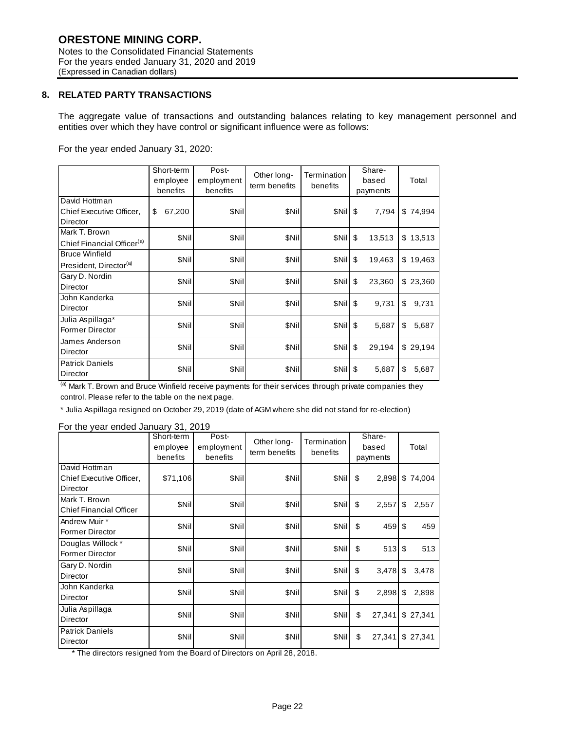Notes to the Consolidated Financial Statements For the years ended January 31, 2020 and 2019 (Expressed in Canadian dollars)

# **8. RELATED PARTY TRANSACTIONS**

The aggregate value of transactions and outstanding balances relating to key management personnel and entities over which they have control or significant influence were as follows:

For the year ended January 31, 2020:

|                                                             | Short-term<br>employee<br>benefits | Post-<br>employment<br>benefits | Other long-<br>term benefits | Termination<br>benefits | Share-<br>based<br>payments | Total       |
|-------------------------------------------------------------|------------------------------------|---------------------------------|------------------------------|-------------------------|-----------------------------|-------------|
| David Hottman<br>Chief Executive Officer,<br>Director       | \$<br>67,200                       | \$Nil                           | \$Nil                        | SNill <sub>S</sub>      | 7,794                       | \$74,994    |
| Mark T. Brown<br>Chief Financial Officer <sup>(a)</sup>     | \$Nil                              | \$Nil                           | \$Nil                        | SNIS                    | 13,513                      | \$13,513    |
| <b>Bruce Winfield</b><br>President, Director <sup>(a)</sup> | \$Nil                              | \$Nil                           | \$Nil                        | SNIS                    | 19,463                      | \$19,463    |
| Gary D. Nordin<br>Director                                  | \$Nil                              | \$Nil                           | \$Nil                        | \$Nil                   | \$<br>23,360                | \$23,360    |
| John Kanderka<br>Director                                   | \$Nil                              | \$Nil                           | \$Nil                        | SNIS                    | 9,731                       | 9,731<br>\$ |
| Julia Aspillaga*<br><b>Former Director</b>                  | \$Nil                              | \$Nil                           | \$Nil                        | SNIS                    | 5,687                       | \$<br>5,687 |
| James Anderson<br>Director                                  | \$Nil                              | \$Nil                           | \$Nil                        | SNil \$                 | 29,194                      | \$29,194    |
| <b>Patrick Daniels</b><br>Director                          | \$Nil                              | \$Nil                           | \$Nil                        | SNIS                    | 5,687                       | \$<br>5,687 |

(a) Mark T. Brown and Bruce Winfield receive payments for their services through private companies they control. Please refer to the table on the next page.

\* Julia Aspillaga resigned on October 29, 2019 (date of AGM where she did not stand for re-election)

# For the year ended January 31, 2019

|                                                       | Short-term<br>employee<br>benefits | Post-<br>employment<br>benefits | Other long-<br>term benefits | Termination<br>benefits | Share-<br>based<br>payments | Total       |
|-------------------------------------------------------|------------------------------------|---------------------------------|------------------------------|-------------------------|-----------------------------|-------------|
| David Hottman<br>Chief Executive Officer,<br>Director | \$71,106                           | \$Nil                           | \$Nil                        | \$Nil                   | \$<br>2,898                 | \$74,004    |
| Mark T. Brown<br><b>Chief Financial Officer</b>       | \$Nil                              | \$Nil                           | \$Nil                        | \$Nil                   | \$<br>2,557                 | \$<br>2,557 |
| Andrew Muir *<br>Former Director                      | \$Nil                              | \$Nil                           | \$Nil                        | \$Nil                   | \$<br>459                   | \$<br>459   |
| Douglas Willock *<br>Former Director                  | \$Nil                              | \$Nil                           | \$Nil                        | \$Nil                   | \$<br>513                   | \$<br>513   |
| Gary D. Nordin<br>Director                            | \$Nil                              | \$Nil                           | \$Nil                        | \$Nil                   | \$<br>3,478                 | 3,478<br>\$ |
| John Kanderka<br>Director                             | \$Nil                              | \$Nil                           | \$Nil                        | \$Nil                   | \$<br>2,898                 | 2,898<br>\$ |
| Julia Aspillaga<br>Director                           | \$Nil                              | \$Nil                           | \$Nil                        | <b>SNill</b>            | \$<br>27,341                | \$27,341    |
| <b>Patrick Daniels</b><br>Director                    | \$Nil                              | \$Nil                           | \$Nil                        | \$Nil                   | 27,341<br>\$                | \$27,341    |

\* The directors resigned from the Board of Directors on April 28, 2018.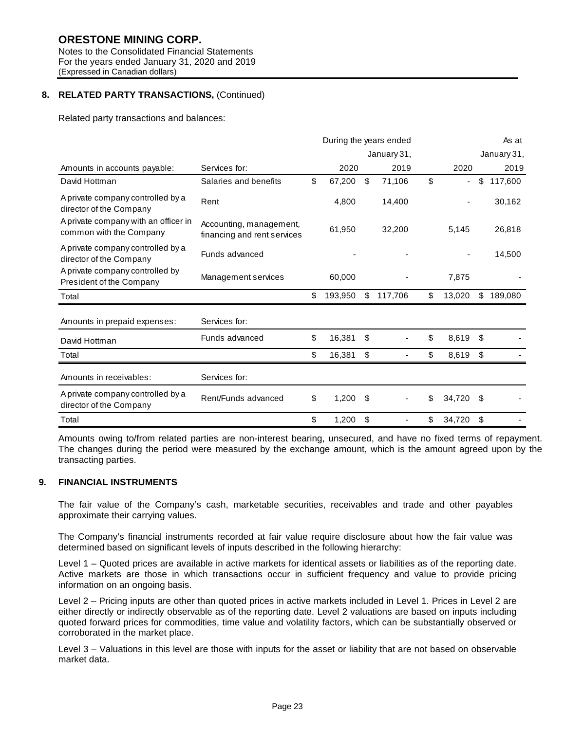For the years ended January 31, 2020 and 2019 (Expressed in Canadian dollars)

# **8. RELATED PARTY TRANSACTIONS,** (Continued)

Related party transactions and balances:

|                                                                 |                                                        | During the years ended |         |    |             |              | As at |             |
|-----------------------------------------------------------------|--------------------------------------------------------|------------------------|---------|----|-------------|--------------|-------|-------------|
|                                                                 |                                                        |                        |         |    | January 31, |              |       | January 31, |
| Amounts in accounts payable:                                    | Services for:                                          |                        | 2020    |    | 2019        | 2020         |       | 2019        |
| David Hottman                                                   | Salaries and benefits                                  | \$                     | 67,200  | \$ | 71,106      | \$<br>٠      | \$    | 117,600     |
| A private company controlled by a<br>director of the Company    | Rent                                                   |                        | 4,800   |    | 14,400      |              |       | 30,162      |
| A private company with an officer in<br>common with the Company | Accounting, management,<br>financing and rent services |                        | 61,950  |    | 32,200      | 5,145        |       | 26,818      |
| A private company controlled by a<br>director of the Company    | Funds advanced                                         |                        |         |    |             |              |       | 14,500      |
| A private company controlled by<br>President of the Company     | Management services                                    |                        | 60,000  |    |             | 7,875        |       |             |
| Total                                                           |                                                        | \$                     | 193,950 | \$ | 117,706     | \$<br>13,020 | \$    | 189,080     |
| Amounts in prepaid expenses:                                    | Services for:                                          |                        |         |    |             |              |       |             |
| David Hottman                                                   | Funds advanced                                         | \$                     | 16,381  | \$ |             | \$<br>8,619  | \$    |             |
| Total                                                           |                                                        | \$                     | 16,381  | \$ |             | \$<br>8,619  | \$    |             |
| Amounts in receivables:                                         | Services for:                                          |                        |         |    |             |              |       |             |
| A private company controlled by a<br>director of the Company    | Rent/Funds advanced                                    | \$                     | 1,200   | \$ |             | \$<br>34,720 | S     |             |
| Total                                                           |                                                        | \$                     | 1,200   | \$ |             | \$<br>34,720 | \$    |             |

Amounts owing to/from related parties are non-interest bearing, unsecured, and have no fixed terms of repayment. The changes during the period were measured by the exchange amount, which is the amount agreed upon by the transacting parties.

# **9. FINANCIAL INSTRUMENTS**

The fair value of the Company's cash, marketable securities, receivables and trade and other payables approximate their carrying values.

The Company's financial instruments recorded at fair value require disclosure about how the fair value was determined based on significant levels of inputs described in the following hierarchy:

Level 1 – Quoted prices are available in active markets for identical assets or liabilities as of the reporting date. Active markets are those in which transactions occur in sufficient frequency and value to provide pricing information on an ongoing basis.

Level 2 – Pricing inputs are other than quoted prices in active markets included in Level 1. Prices in Level 2 are either directly or indirectly observable as of the reporting date. Level 2 valuations are based on inputs including quoted forward prices for commodities, time value and volatility factors, which can be substantially observed or corroborated in the market place.

Level 3 – Valuations in this level are those with inputs for the asset or liability that are not based on observable market data.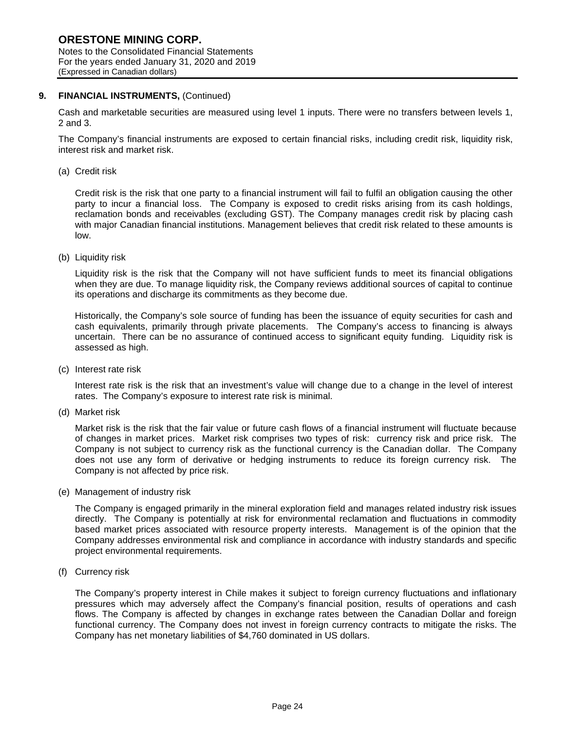# **ORESTONE MINING CORP.**

Notes to the Consolidated Financial Statements For the years ended January 31, 2020 and 2019 (Expressed in Canadian dollars)

# **9. FINANCIAL INSTRUMENTS,** (Continued)

Cash and marketable securities are measured using level 1 inputs. There were no transfers between levels 1, 2 and 3.

The Company's financial instruments are exposed to certain financial risks, including credit risk, liquidity risk, interest risk and market risk.

(a) Credit risk

Credit risk is the risk that one party to a financial instrument will fail to fulfil an obligation causing the other party to incur a financial loss. The Company is exposed to credit risks arising from its cash holdings, reclamation bonds and receivables (excluding GST). The Company manages credit risk by placing cash with major Canadian financial institutions. Management believes that credit risk related to these amounts is low.

(b) Liquidity risk

Liquidity risk is the risk that the Company will not have sufficient funds to meet its financial obligations when they are due. To manage liquidity risk, the Company reviews additional sources of capital to continue its operations and discharge its commitments as they become due.

Historically, the Company's sole source of funding has been the issuance of equity securities for cash and cash equivalents, primarily through private placements. The Company's access to financing is always uncertain. There can be no assurance of continued access to significant equity funding. Liquidity risk is assessed as high.

(c) Interest rate risk

Interest rate risk is the risk that an investment's value will change due to a change in the level of interest rates. The Company's exposure to interest rate risk is minimal.

(d) Market risk

Market risk is the risk that the fair value or future cash flows of a financial instrument will fluctuate because of changes in market prices. Market risk comprises two types of risk: currency risk and price risk. The Company is not subject to currency risk as the functional currency is the Canadian dollar. The Company does not use any form of derivative or hedging instruments to reduce its foreign currency risk. The Company is not affected by price risk.

(e) Management of industry risk

The Company is engaged primarily in the mineral exploration field and manages related industry risk issues directly. The Company is potentially at risk for environmental reclamation and fluctuations in commodity based market prices associated with resource property interests. Management is of the opinion that the Company addresses environmental risk and compliance in accordance with industry standards and specific project environmental requirements.

(f) Currency risk

The Company's property interest in Chile makes it subject to foreign currency fluctuations and inflationary pressures which may adversely affect the Company's financial position, results of operations and cash flows. The Company is affected by changes in exchange rates between the Canadian Dollar and foreign functional currency. The Company does not invest in foreign currency contracts to mitigate the risks. The Company has net monetary liabilities of \$4,760 dominated in US dollars.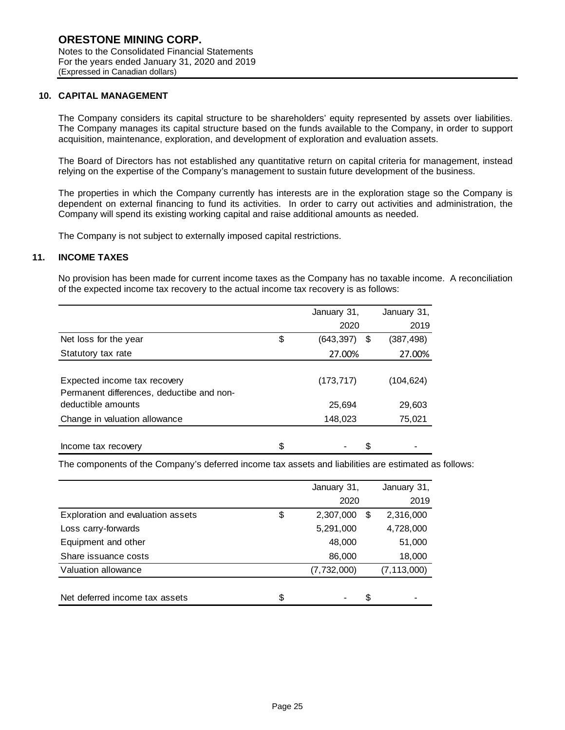# **10. CAPITAL MANAGEMENT**

The Company considers its capital structure to be shareholders' equity represented by assets over liabilities. The Company manages its capital structure based on the funds available to the Company, in order to support acquisition, maintenance, exploration, and development of exploration and evaluation assets.

The Board of Directors has not established any quantitative return on capital criteria for management, instead relying on the expertise of the Company's management to sustain future development of the business.

The properties in which the Company currently has interests are in the exploration stage so the Company is dependent on external financing to fund its activities. In order to carry out activities and administration, the Company will spend its existing working capital and raise additional amounts as needed.

The Company is not subject to externally imposed capital restrictions.

### **11. INCOME TAXES**

No provision has been made for current income taxes as the Company has no taxable income. A reconciliation of the expected income tax recovery to the actual income tax recovery is as follows:

|                                                                           | January 31,<br>January 31, |            |  |
|---------------------------------------------------------------------------|----------------------------|------------|--|
|                                                                           | 2020                       | 2019       |  |
| Net loss for the year                                                     | \$<br>(643, 397)<br>\$     | (387, 498) |  |
| Statutory tax rate                                                        | 27.00%                     | 27.00%     |  |
| Expected income tax recovery<br>Permanent differences, deductibe and non- | (173, 717)                 | (104,624)  |  |
| deductible amounts                                                        | 25,694                     | 29,603     |  |
| Change in valuation allowance                                             | 148,023                    | 75,021     |  |
| Income tax recovery                                                       | \$<br>S                    |            |  |

The components of the Company's deferred income tax assets and liabilities are estimated as follows:

|                                   | January 31,     |    | January 31,   |
|-----------------------------------|-----------------|----|---------------|
|                                   | 2020            |    | 2019          |
| Exploration and evaluation assets | \$<br>2,307,000 | £. | 2,316,000     |
| Loss carry-forwards               | 5,291,000       |    | 4,728,000     |
| Equipment and other               | 48,000          |    | 51,000        |
| Share issuance costs              | 86,000          |    | 18,000        |
| Valuation allowance               | (7,732,000)     |    | (7, 113, 000) |
| Net deferred income tax assets    | \$              | S  |               |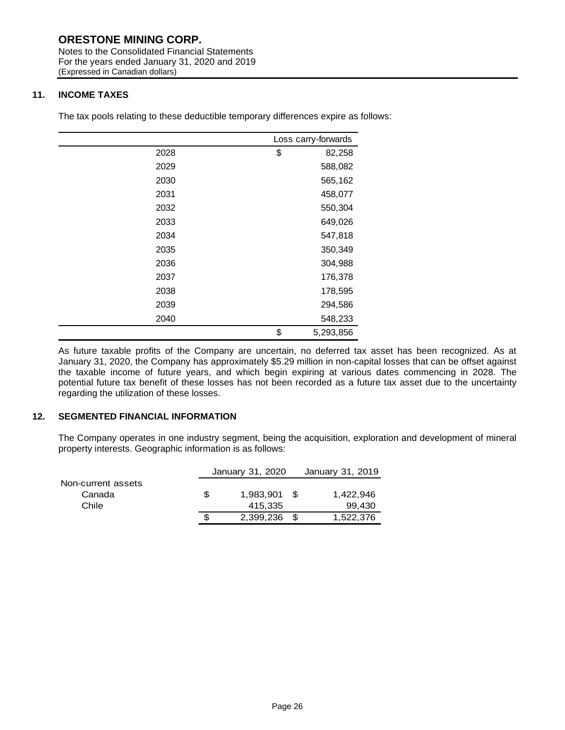# **ORESTONE MINING CORP.**

Notes to the Consolidated Financial Statements For the years ended January 31, 2020 and 2019 (Expressed in Canadian dollars)

# **11. INCOME TAXES**

The tax pools relating to these deductible temporary differences expire as follows:

|      | Loss carry-forwards |  |
|------|---------------------|--|
| 2028 | \$<br>82,258        |  |
| 2029 | 588,082             |  |
| 2030 | 565,162             |  |
| 2031 | 458,077             |  |
| 2032 | 550,304             |  |
| 2033 | 649,026             |  |
| 2034 | 547,818             |  |
| 2035 | 350,349             |  |
| 2036 | 304,988             |  |
| 2037 | 176,378             |  |
| 2038 | 178,595             |  |
| 2039 | 294,586             |  |
| 2040 | 548,233             |  |
|      | \$<br>5,293,856     |  |

As future taxable profits of the Company are uncertain, no deferred tax asset has been recognized. As at January 31, 2020, the Company has approximately \$5.29 million in non-capital losses that can be offset against the taxable income of future years, and which begin expiring at various dates commencing in 2028. The potential future tax benefit of these losses has not been recorded as a future tax asset due to the uncertainty regarding the utilization of these losses.

# **12. SEGMENTED FINANCIAL INFORMATION**

The Company operates in one industry segment, being the acquisition, exploration and development of mineral property interests. Geographic information is as follows:

|                    |     | January 31, 2020 | January 31, 2019 |
|--------------------|-----|------------------|------------------|
| Non-current assets |     |                  |                  |
| Canada             | S   | 1,983,901 \$     | 1.422.946        |
| Chile              |     | 415.335          | 99.430           |
|                    | \$. | 2,399,236 \$     | 1,522,376        |